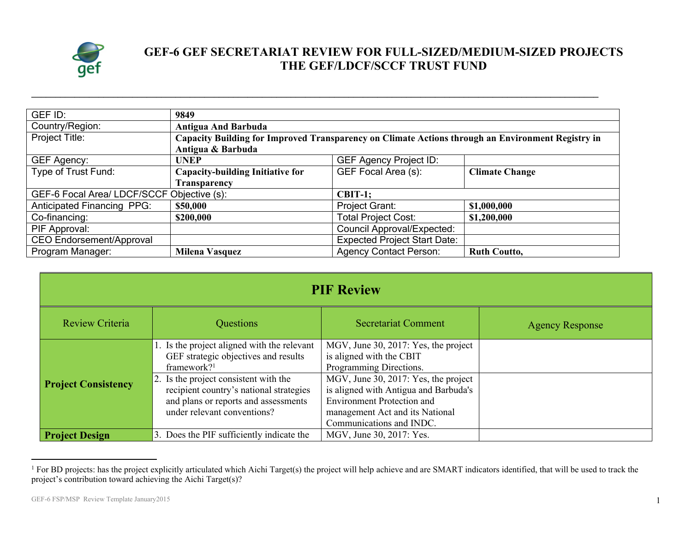

## **GEF-6 GEF SECRETARIAT REVIEW FOR FULL-SIZED/MEDIUM-SIZED PROJECTS THE GEF/LDCF/SCCF TRUST FUND**

| GEF ID:                                    |                                                                                                   | 9849                              |                       |  |
|--------------------------------------------|---------------------------------------------------------------------------------------------------|-----------------------------------|-----------------------|--|
| Country/Region:                            | <b>Antigua And Barbuda</b>                                                                        |                                   |                       |  |
| Project Title:                             | Capacity Building for Improved Transparency on Climate Actions through an Environment Registry in |                                   |                       |  |
|                                            | Antigua & Barbuda                                                                                 |                                   |                       |  |
| GEF Agency:                                | <b>UNEP</b>                                                                                       | <b>GEF Agency Project ID:</b>     |                       |  |
| Type of Trust Fund:                        | <b>Capacity-building Initiative for</b>                                                           | GEF Focal Area (s):               | <b>Climate Change</b> |  |
|                                            | <b>Transparency</b>                                                                               |                                   |                       |  |
| GEF-6 Focal Area/ LDCF/SCCF Objective (s): |                                                                                                   | $CBIT-1;$                         |                       |  |
| <b>Anticipated Financing PPG:</b>          | \$50,000                                                                                          | <b>Project Grant:</b>             | \$1,000,000           |  |
| Co-financing:                              | \$200,000                                                                                         | <b>Total Project Cost:</b>        | \$1,200,000           |  |
| PIF Approval:                              |                                                                                                   | <b>Council Approval/Expected:</b> |                       |  |
| <b>CEO Endorsement/Approval</b>            | <b>Expected Project Start Date:</b>                                                               |                                   |                       |  |
| Program Manager:                           | Milena Vasquez                                                                                    | <b>Agency Contact Person:</b>     | <b>Ruth Coutto,</b>   |  |

**\_\_\_\_\_\_\_\_\_\_\_\_\_\_\_\_\_\_\_\_\_\_\_\_\_\_\_\_\_\_\_\_\_\_\_\_\_\_\_\_\_\_\_\_\_\_\_\_\_\_\_\_\_\_\_\_\_\_\_\_\_\_\_\_\_\_\_\_\_\_\_\_\_\_\_\_\_\_\_\_\_\_\_\_\_\_\_\_\_\_\_\_\_\_\_\_\_\_\_\_\_\_\_\_\_\_\_\_\_\_\_\_\_\_\_\_\_\_**

| <b>PIF Review</b>          |                                                                                                                                                                                                                                                                           |                                                                                                                                                                                                                                                                                  |                        |  |
|----------------------------|---------------------------------------------------------------------------------------------------------------------------------------------------------------------------------------------------------------------------------------------------------------------------|----------------------------------------------------------------------------------------------------------------------------------------------------------------------------------------------------------------------------------------------------------------------------------|------------------------|--|
| Review Criteria            | Questions                                                                                                                                                                                                                                                                 | <b>Secretariat Comment</b>                                                                                                                                                                                                                                                       | <b>Agency Response</b> |  |
| <b>Project Consistency</b> | 1. Is the project aligned with the relevant<br>GEF strategic objectives and results<br>framework? <sup>1</sup><br>2. Is the project consistent with the<br>recipient country's national strategies<br>and plans or reports and assessments<br>under relevant conventions? | MGV, June 30, 2017: Yes, the project<br>is aligned with the CBIT<br>Programming Directions.<br>MGV, June 30, 2017: Yes, the project<br>is aligned with Antigua and Barbuda's<br><b>Environment Protection and</b><br>management Act and its National<br>Communications and INDC. |                        |  |
| <b>Project Design</b>      | 3. Does the PIF sufficiently indicate the                                                                                                                                                                                                                                 | MGV, June 30, 2017: Yes.                                                                                                                                                                                                                                                         |                        |  |

<sup>&</sup>lt;sup>1</sup> For BD projects: has the project explicitly articulated which Aichi Target(s) the project will help achieve and are SMART indicators identified, that will be used to track the project's contribution toward achieving the Aichi Target(s)?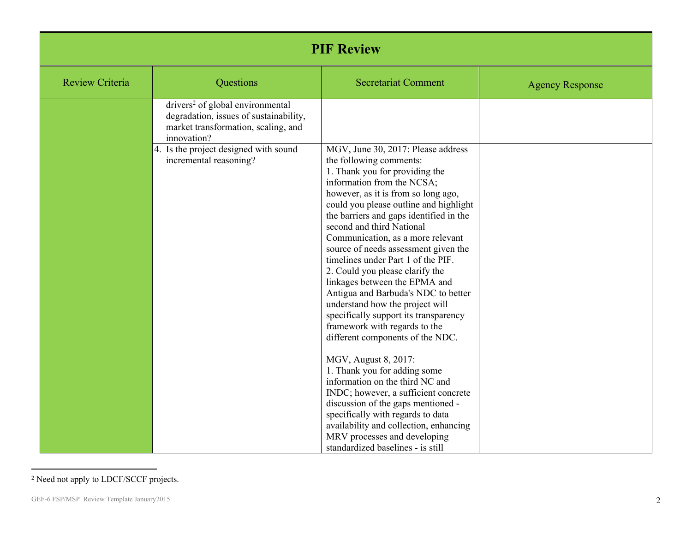| <b>PIF Review</b>      |                                                                                                                                              |                                                                                                                                                                                                                                                                                                                                                                                                                                                                                                                                                                                                                                                                                                                                                                                                                                                                                                                                                                                                    |                        |
|------------------------|----------------------------------------------------------------------------------------------------------------------------------------------|----------------------------------------------------------------------------------------------------------------------------------------------------------------------------------------------------------------------------------------------------------------------------------------------------------------------------------------------------------------------------------------------------------------------------------------------------------------------------------------------------------------------------------------------------------------------------------------------------------------------------------------------------------------------------------------------------------------------------------------------------------------------------------------------------------------------------------------------------------------------------------------------------------------------------------------------------------------------------------------------------|------------------------|
| <b>Review Criteria</b> | Questions                                                                                                                                    | <b>Secretariat Comment</b>                                                                                                                                                                                                                                                                                                                                                                                                                                                                                                                                                                                                                                                                                                                                                                                                                                                                                                                                                                         | <b>Agency Response</b> |
|                        | drivers <sup>2</sup> of global environmental<br>degradation, issues of sustainability,<br>market transformation, scaling, and<br>innovation? |                                                                                                                                                                                                                                                                                                                                                                                                                                                                                                                                                                                                                                                                                                                                                                                                                                                                                                                                                                                                    |                        |
|                        | 4. Is the project designed with sound<br>incremental reasoning?                                                                              | MGV, June 30, 2017: Please address<br>the following comments:<br>1. Thank you for providing the<br>information from the NCSA;<br>however, as it is from so long ago,<br>could you please outline and highlight<br>the barriers and gaps identified in the<br>second and third National<br>Communication, as a more relevant<br>source of needs assessment given the<br>timelines under Part 1 of the PIF.<br>2. Could you please clarify the<br>linkages between the EPMA and<br>Antigua and Barbuda's NDC to better<br>understand how the project will<br>specifically support its transparency<br>framework with regards to the<br>different components of the NDC.<br>MGV, August 8, 2017:<br>1. Thank you for adding some<br>information on the third NC and<br>INDC; however, a sufficient concrete<br>discussion of the gaps mentioned -<br>specifically with regards to data<br>availability and collection, enhancing<br>MRV processes and developing<br>standardized baselines - is still |                        |

<sup>2</sup> Need not apply to LDCF/SCCF projects.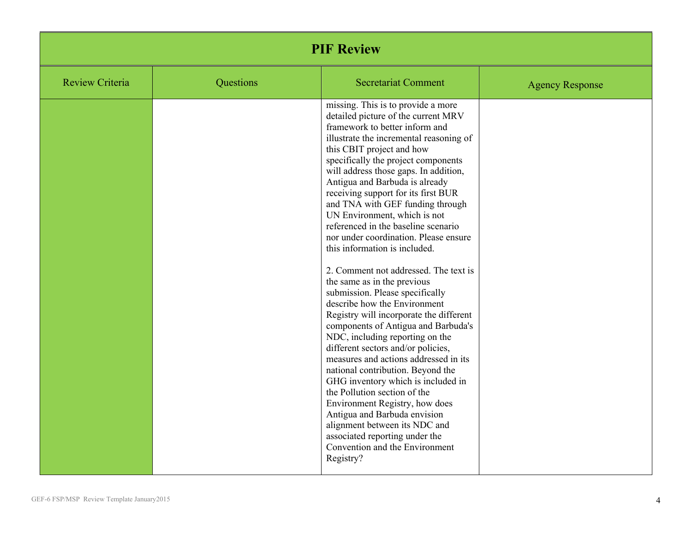| <b>PIF Review</b>      |           |                                                                                                                                                                                                                                                                                                                                                                                                                                                                                                                                                                                                                                                                                                                                                                                                                                                                                                                                                                                                                                                                                                                                                                                 |                        |
|------------------------|-----------|---------------------------------------------------------------------------------------------------------------------------------------------------------------------------------------------------------------------------------------------------------------------------------------------------------------------------------------------------------------------------------------------------------------------------------------------------------------------------------------------------------------------------------------------------------------------------------------------------------------------------------------------------------------------------------------------------------------------------------------------------------------------------------------------------------------------------------------------------------------------------------------------------------------------------------------------------------------------------------------------------------------------------------------------------------------------------------------------------------------------------------------------------------------------------------|------------------------|
| <b>Review Criteria</b> | Questions | <b>Secretariat Comment</b>                                                                                                                                                                                                                                                                                                                                                                                                                                                                                                                                                                                                                                                                                                                                                                                                                                                                                                                                                                                                                                                                                                                                                      | <b>Agency Response</b> |
|                        |           | missing. This is to provide a more<br>detailed picture of the current MRV<br>framework to better inform and<br>illustrate the incremental reasoning of<br>this CBIT project and how<br>specifically the project components<br>will address those gaps. In addition,<br>Antigua and Barbuda is already<br>receiving support for its first BUR<br>and TNA with GEF funding through<br>UN Environment, which is not<br>referenced in the baseline scenario<br>nor under coordination. Please ensure<br>this information is included.<br>2. Comment not addressed. The text is<br>the same as in the previous<br>submission. Please specifically<br>describe how the Environment<br>Registry will incorporate the different<br>components of Antigua and Barbuda's<br>NDC, including reporting on the<br>different sectors and/or policies,<br>measures and actions addressed in its<br>national contribution. Beyond the<br>GHG inventory which is included in<br>the Pollution section of the<br>Environment Registry, how does<br>Antigua and Barbuda envision<br>alignment between its NDC and<br>associated reporting under the<br>Convention and the Environment<br>Registry? |                        |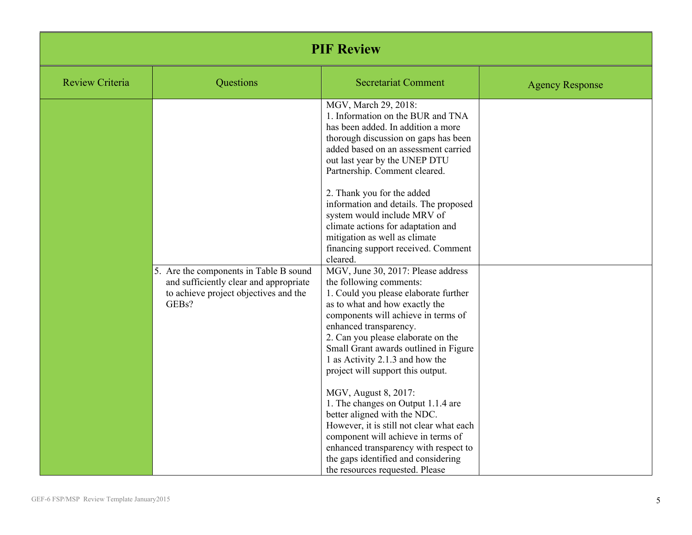| <b>PIF Review</b>      |                                                                                                                                    |                                                                                                                                                                                                                                                                                                                                                                                                                                                                                   |                        |
|------------------------|------------------------------------------------------------------------------------------------------------------------------------|-----------------------------------------------------------------------------------------------------------------------------------------------------------------------------------------------------------------------------------------------------------------------------------------------------------------------------------------------------------------------------------------------------------------------------------------------------------------------------------|------------------------|
| <b>Review Criteria</b> | Questions                                                                                                                          | <b>Secretariat Comment</b>                                                                                                                                                                                                                                                                                                                                                                                                                                                        | <b>Agency Response</b> |
|                        |                                                                                                                                    | MGV, March 29, 2018:<br>1. Information on the BUR and TNA<br>has been added. In addition a more<br>thorough discussion on gaps has been<br>added based on an assessment carried<br>out last year by the UNEP DTU<br>Partnership. Comment cleared.<br>2. Thank you for the added<br>information and details. The proposed<br>system would include MRV of<br>climate actions for adaptation and<br>mitigation as well as climate<br>financing support received. Comment<br>cleared. |                        |
|                        | 5. Are the components in Table B sound<br>and sufficiently clear and appropriate<br>to achieve project objectives and the<br>GEBs? | MGV, June 30, 2017: Please address<br>the following comments:<br>1. Could you please elaborate further<br>as to what and how exactly the<br>components will achieve in terms of<br>enhanced transparency.<br>2. Can you please elaborate on the<br>Small Grant awards outlined in Figure<br>1 as Activity 2.1.3 and how the<br>project will support this output.<br>MGV, August 8, 2017:<br>1. The changes on Output 1.1.4 are<br>better aligned with the NDC.                    |                        |
|                        |                                                                                                                                    | However, it is still not clear what each<br>component will achieve in terms of<br>enhanced transparency with respect to<br>the gaps identified and considering<br>the resources requested. Please                                                                                                                                                                                                                                                                                 |                        |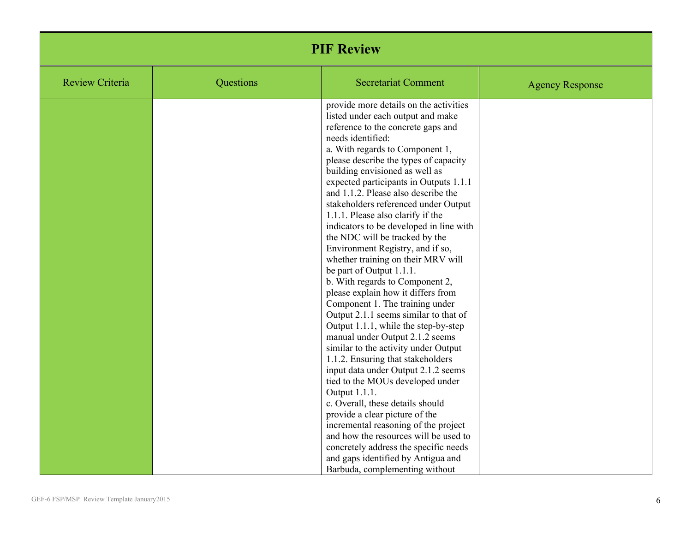| <b>PIF Review</b>      |           |                                                                                                                                                                                                                                                                                                                                                                                                                                                                                                                                                                                                                                                                                                                                                                                                                                                                                                                                                                                                                                                                                                                                                                                                                                                                                        |                        |
|------------------------|-----------|----------------------------------------------------------------------------------------------------------------------------------------------------------------------------------------------------------------------------------------------------------------------------------------------------------------------------------------------------------------------------------------------------------------------------------------------------------------------------------------------------------------------------------------------------------------------------------------------------------------------------------------------------------------------------------------------------------------------------------------------------------------------------------------------------------------------------------------------------------------------------------------------------------------------------------------------------------------------------------------------------------------------------------------------------------------------------------------------------------------------------------------------------------------------------------------------------------------------------------------------------------------------------------------|------------------------|
| <b>Review Criteria</b> | Questions | <b>Secretariat Comment</b>                                                                                                                                                                                                                                                                                                                                                                                                                                                                                                                                                                                                                                                                                                                                                                                                                                                                                                                                                                                                                                                                                                                                                                                                                                                             | <b>Agency Response</b> |
|                        |           | provide more details on the activities<br>listed under each output and make<br>reference to the concrete gaps and<br>needs identified:<br>a. With regards to Component 1,<br>please describe the types of capacity<br>building envisioned as well as<br>expected participants in Outputs 1.1.1<br>and 1.1.2. Please also describe the<br>stakeholders referenced under Output<br>1.1.1. Please also clarify if the<br>indicators to be developed in line with<br>the NDC will be tracked by the<br>Environment Registry, and if so,<br>whether training on their MRV will<br>be part of Output 1.1.1.<br>b. With regards to Component 2,<br>please explain how it differs from<br>Component 1. The training under<br>Output 2.1.1 seems similar to that of<br>Output 1.1.1, while the step-by-step<br>manual under Output 2.1.2 seems<br>similar to the activity under Output<br>1.1.2. Ensuring that stakeholders<br>input data under Output 2.1.2 seems<br>tied to the MOUs developed under<br>Output 1.1.1.<br>c. Overall, these details should<br>provide a clear picture of the<br>incremental reasoning of the project<br>and how the resources will be used to<br>concretely address the specific needs<br>and gaps identified by Antigua and<br>Barbuda, complementing without |                        |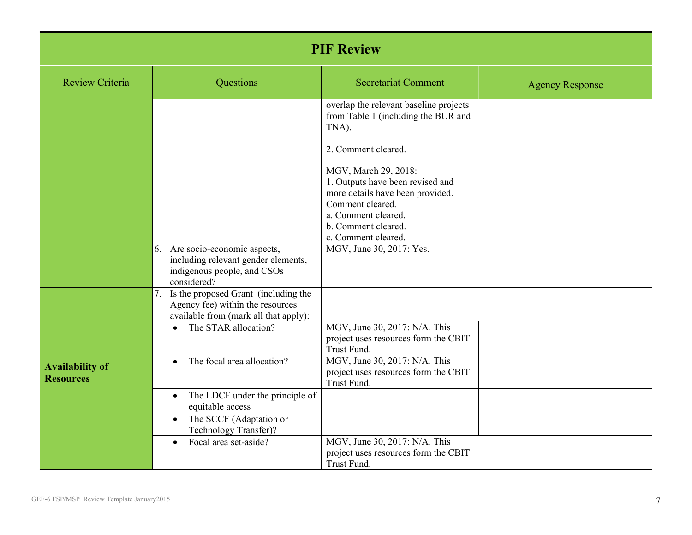| <b>PIF Review</b>                          |                                                                                                                                                              |                                                                                                                                                                                                                                                                                                                                    |                        |
|--------------------------------------------|--------------------------------------------------------------------------------------------------------------------------------------------------------------|------------------------------------------------------------------------------------------------------------------------------------------------------------------------------------------------------------------------------------------------------------------------------------------------------------------------------------|------------------------|
| <b>Review Criteria</b>                     | Questions                                                                                                                                                    | <b>Secretariat Comment</b>                                                                                                                                                                                                                                                                                                         | <b>Agency Response</b> |
|                                            | 6. Are socio-economic aspects,<br>including relevant gender elements,<br>indigenous people, and CSOs<br>considered?                                          | overlap the relevant baseline projects<br>from Table 1 (including the BUR and<br>TNA).<br>2. Comment cleared.<br>MGV, March 29, 2018:<br>1. Outputs have been revised and<br>more details have been provided.<br>Comment cleared.<br>a. Comment cleared.<br>b. Comment cleared.<br>c. Comment cleared.<br>MGV, June 30, 2017: Yes. |                        |
|                                            | Is the proposed Grant (including the<br>7.<br>Agency fee) within the resources<br>available from (mark all that apply):<br>The STAR allocation?<br>$\bullet$ | MGV, June 30, 2017: N/A. This<br>project uses resources form the CBIT<br>Trust Fund.                                                                                                                                                                                                                                               |                        |
| <b>Availability of</b><br><b>Resources</b> | The focal area allocation?<br>$\bullet$                                                                                                                      | MGV, June 30, 2017: N/A. This<br>project uses resources form the CBIT<br>Trust Fund.                                                                                                                                                                                                                                               |                        |
|                                            | The LDCF under the principle of<br>$\bullet$<br>equitable access<br>The SCCF (Adaptation or<br>$\bullet$                                                     |                                                                                                                                                                                                                                                                                                                                    |                        |
|                                            | Technology Transfer)?<br>Focal area set-aside?<br>$\bullet$                                                                                                  | MGV, June 30, 2017: N/A. This<br>project uses resources form the CBIT<br>Trust Fund.                                                                                                                                                                                                                                               |                        |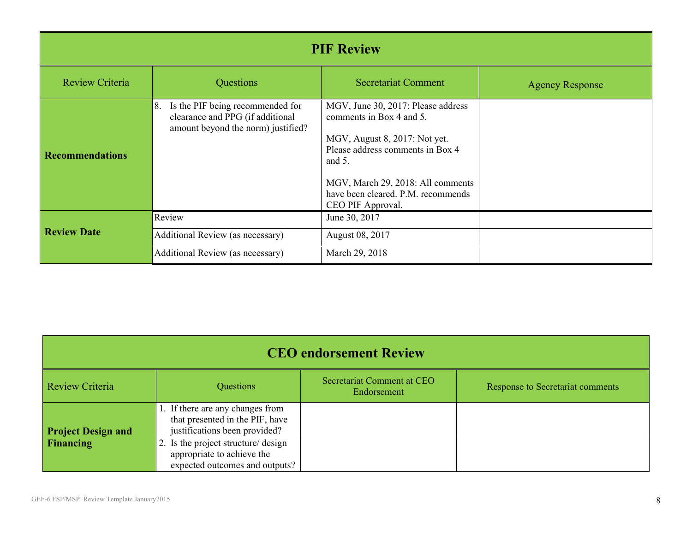| <b>PIF Review</b>      |                                                                                                                  |                                                                                                                                                                                                                                                  |                        |
|------------------------|------------------------------------------------------------------------------------------------------------------|--------------------------------------------------------------------------------------------------------------------------------------------------------------------------------------------------------------------------------------------------|------------------------|
| <b>Review Criteria</b> | Questions                                                                                                        | <b>Secretariat Comment</b>                                                                                                                                                                                                                       | <b>Agency Response</b> |
| <b>Recommendations</b> | Is the PIF being recommended for<br>8.<br>clearance and PPG (if additional<br>amount beyond the norm) justified? | MGV, June 30, 2017: Please address<br>comments in Box 4 and 5.<br>MGV, August 8, 2017: Not yet.<br>Please address comments in Box 4<br>and $5$ .<br>MGV, March 29, 2018: All comments<br>have been cleared. P.M. recommends<br>CEO PIF Approval. |                        |
|                        | Review                                                                                                           | June 30, 2017                                                                                                                                                                                                                                    |                        |
| <b>Review Date</b>     | Additional Review (as necessary)                                                                                 | August 08, 2017                                                                                                                                                                                                                                  |                        |
|                        | <b>Additional Review (as necessary)</b>                                                                          | March 29, 2018                                                                                                                                                                                                                                   |                        |

| <b>CEO</b> endorsement Review |                                                                                                      |                                           |                                  |  |
|-------------------------------|------------------------------------------------------------------------------------------------------|-------------------------------------------|----------------------------------|--|
| Review Criteria               | Questions                                                                                            | Secretariat Comment at CEO<br>Endorsement | Response to Secretariat comments |  |
| <b>Project Design and</b>     | 1. If there are any changes from<br>that presented in the PIF, have<br>justifications been provided? |                                           |                                  |  |
| Financing                     | 2. Is the project structure/ design<br>appropriate to achieve the<br>expected outcomes and outputs?  |                                           |                                  |  |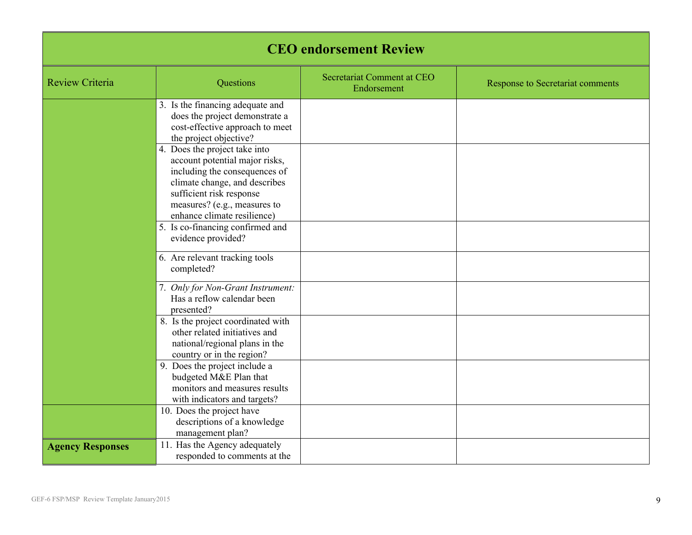| <b>CEO</b> endorsement Review |                                                                                                                                                                                                                              |                                           |                                  |
|-------------------------------|------------------------------------------------------------------------------------------------------------------------------------------------------------------------------------------------------------------------------|-------------------------------------------|----------------------------------|
| <b>Review Criteria</b>        | Questions                                                                                                                                                                                                                    | Secretariat Comment at CEO<br>Endorsement | Response to Secretariat comments |
|                               | 3. Is the financing adequate and<br>does the project demonstrate a<br>cost-effective approach to meet<br>the project objective?                                                                                              |                                           |                                  |
|                               | 4. Does the project take into<br>account potential major risks,<br>including the consequences of<br>climate change, and describes<br>sufficient risk response<br>measures? (e.g., measures to<br>enhance climate resilience) |                                           |                                  |
|                               | 5. Is co-financing confirmed and<br>evidence provided?                                                                                                                                                                       |                                           |                                  |
|                               | 6. Are relevant tracking tools<br>completed?                                                                                                                                                                                 |                                           |                                  |
|                               | 7. Only for Non-Grant Instrument:<br>Has a reflow calendar been<br>presented?                                                                                                                                                |                                           |                                  |
|                               | 8. Is the project coordinated with<br>other related initiatives and<br>national/regional plans in the<br>country or in the region?                                                                                           |                                           |                                  |
|                               | 9. Does the project include a<br>budgeted M&E Plan that<br>monitors and measures results<br>with indicators and targets?                                                                                                     |                                           |                                  |
|                               | 10. Does the project have<br>descriptions of a knowledge<br>management plan?                                                                                                                                                 |                                           |                                  |
| <b>Agency Responses</b>       | 11. Has the Agency adequately<br>responded to comments at the                                                                                                                                                                |                                           |                                  |